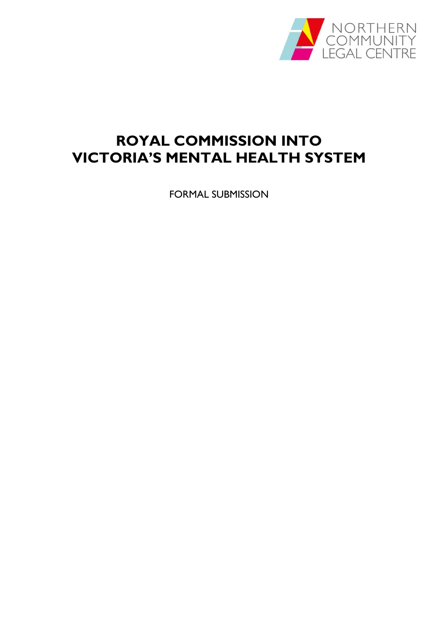

# **ROYAL COMMISSION INTO VICTORIA'S MENTAL HEALTH SYSTEM**

FORMAL SUBMISSION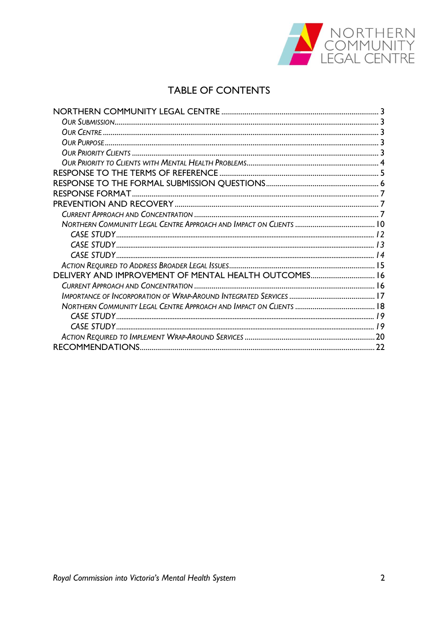

# **TABLE OF CONTENTS**

| DELIVERY AND IMPROVEMENT OF MENTAL HEALTH OUTCOMES 16 |    |
|-------------------------------------------------------|----|
|                                                       |    |
|                                                       |    |
|                                                       |    |
|                                                       |    |
|                                                       |    |
|                                                       |    |
|                                                       | 22 |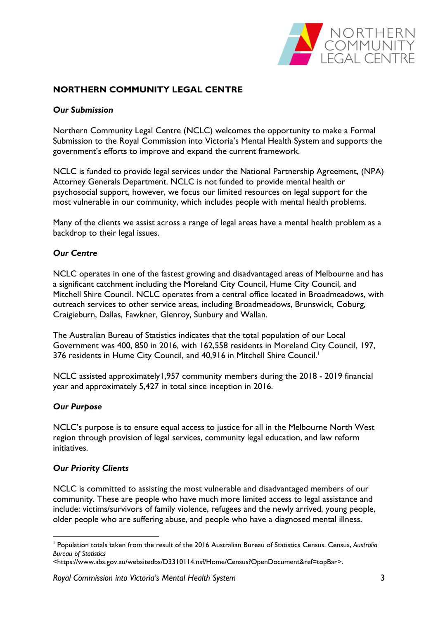

# <span id="page-2-1"></span><span id="page-2-0"></span>**NORTHERN COMMUNITY LEGAL CENTRE**

### *Our Submission*

Northern Community Legal Centre (NCLC) welcomes the opportunity to make a Formal Submission to the Royal Commission into Victoria's Mental Health System and supports the government's efforts to improve and expand the current framework.

NCLC is funded to provide legal services under the National Partnership Agreement, (NPA) Attorney Generals Department. NCLC is not funded to provide mental health or psychosocial support, however, we focus our limited resources on legal support for the most vulnerable in our community, which includes people with mental health problems.

Many of the clients we assist across a range of legal areas have a mental health problem as a backdrop to their legal issues.

#### <span id="page-2-2"></span>*Our Centre*

NCLC operates in one of the fastest growing and disadvantaged areas of Melbourne and has a significant catchment including the Moreland City Council, Hume City Council, and Mitchell Shire Council. NCLC operates from a central office located in Broadmeadows, with outreach services to other service areas, including Broadmeadows, Brunswick, Coburg, Craigieburn, Dallas, Fawkner, Glenroy, Sunbury and Wallan.

The Australian Bureau of Statistics indicates that the total population of our Local Government was 400, 850 in 2016, with 162,558 residents in Moreland City Council, 197, 376 residents in Hume City Council, and 40,916 in Mitchell Shire Council.<sup>1</sup>

NCLC assisted approximately1,957 community members during the 2018 - 2019 financial year and approximately 5,427 in total since inception in 2016.

#### <span id="page-2-3"></span>*Our Purpose*

1

NCLC's purpose is to ensure equal access to justice for all in the Melbourne North West region through provision of legal services, community legal education, and law reform initiatives.

#### <span id="page-2-4"></span>*Our Priority Clients*

NCLC is committed to assisting the most vulnerable and disadvantaged members of our community. These are people who have much more limited access to legal assistance and include: victims/survivors of family violence, refugees and the newly arrived, young people, older people who are suffering abuse, and people who have a diagnosed mental illness.

<sup>1</sup> Population totals taken from the result of the 2016 Australian Bureau of Statistics Census. Census, *Australia Bureau of Statistics*

[<sup>&</sup>lt;https://www.abs.gov.au/websitedbs/D3310114.nsf/Home/Census?OpenDocument&ref=topBar>](https://www.abs.gov.au/websitedbs/D3310114.nsf/Home/Census?OpenDocument&ref=topBar).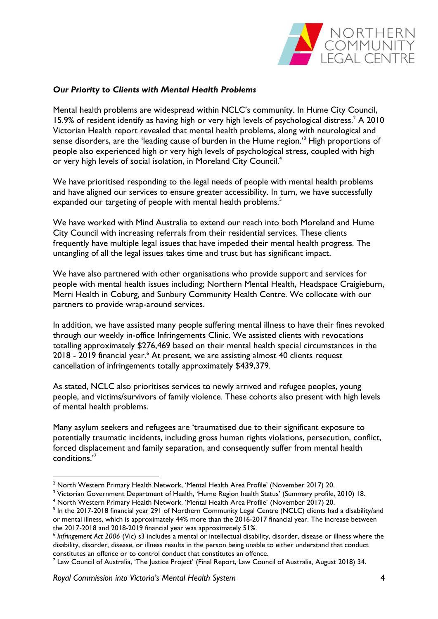

# <span id="page-3-0"></span>*Our Priority to Clients with Mental Health Problems*

Mental health problems are widespread within NCLC's community. In Hume City Council, 15.9% of resident identify as having high or very high levels of psychological distress. <sup>2</sup> A 2010 Victorian Health report revealed that mental health problems, along with neurological and sense disorders, are the 'leading cause of burden in the Hume region.<sup>3</sup> High proportions of people also experienced high or very high levels of psychological stress, coupled with high or very high levels of social isolation, in Moreland City Council.<sup>4</sup>

We have prioritised responding to the legal needs of people with mental health problems and have aligned our services to ensure greater accessibility. In turn, we have successfully expanded our targeting of people with mental health problems.<sup>5</sup>

We have worked with Mind Australia to extend our reach into both Moreland and Hume City Council with increasing referrals from their residential services. These clients frequently have multiple legal issues that have impeded their mental health progress. The untangling of all the legal issues takes time and trust but has significant impact.

We have also partnered with other organisations who provide support and services for people with mental health issues including; Northern Mental Health, Headspace Craigieburn, Merri Health in Coburg, and Sunbury Community Health Centre. We collocate with our partners to provide wrap-around services.

In addition, we have assisted many people suffering mental illness to have their fines revoked through our weekly in-office Infringements Clinic. We assisted clients with revocations totalling approximately \$276,469 based on their mental health special circumstances in the 2018 - 2019 financial year.<sup>6</sup> At present, we are assisting almost 40 clients request cancellation of infringements totally approximately \$439,379.

As stated, NCLC also prioritises services to newly arrived and refugee peoples, young people, and victims/survivors of family violence. These cohorts also present with high levels of mental health problems.

Many asylum seekers and refugees are 'traumatised due to their significant exposure to potentially traumatic incidents, including gross human rights violations, persecution, conflict, forced displacement and family separation, and consequently suffer from mental health conditions.'<sup>7</sup>

<sup>&</sup>lt;sup>2</sup> North Western Primary Health Network, 'Mental Health Area Profile' (November 2017) 20.

<sup>&</sup>lt;sup>3</sup> Victorian Government Department of Health, 'Hume Region health Status' (Summary profile, 2010) 18.

<sup>4</sup> North Western Primary Health Network, 'Mental Health Area Profile' (November 2017) 20.

<sup>&</sup>lt;sup>5</sup> In the 2017-2018 financial year 291 of Northern Community Legal Centre (NCLC) clients had a disability/and or mental illness, which is approximately 44% more than the 2016-2017 financial year. The increase between the 2017-2018 and 2018-2019 financial year was approximately 51%.

<sup>6</sup> *Infringement Act 2006* (Vic) s3 includes a mental or intellectual disability, disorder, disease or illness where the disability, disorder, disease, or illness results in the person being unable to either understand that conduct constitutes an offence or to control conduct that constitutes an offence.

<sup>7</sup> Law Council of Australia, 'The Justice Project' (Final Report, Law Council of Australia*,* August 2018) 34.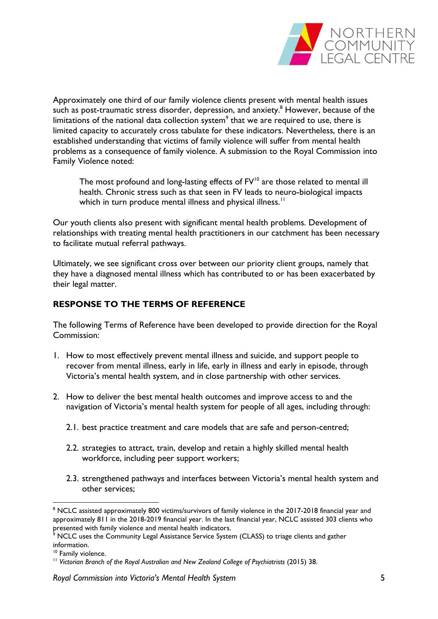

Approximately one third of our family violence clients present with mental health issues such as post-traumatic stress disorder, depression, and anxiety.<sup>8</sup> However, because of the limitations of the national data collection system<sup>9</sup> that we are required to use, there is limited capacity to accurately cross tabulate for these indicators. Nevertheless, there is an established understanding that victims of family violence will suffer from mental health problems as a consequence of family violence. A submission to the Royal Commission into Family Violence noted:

The most profound and long-lasting effects of FV<sup>10</sup> are those related to mental ill health. Chronic stress such as that seen in FV leads to neuro-biological impacts which in turn produce mental illness and physical illness.<sup>11</sup>

Our youth clients also present with significant mental health problems. Development of relationships with treating mental health practitioners in our catchment has been necessary to facilitate mutual referral pathways.

Ultimately, we see significant cross over between our priority client groups, namely that they have a diagnosed mental illness which has contributed to or has been exacerbated by their legal matter.

# <span id="page-4-0"></span>**RESPONSE TO THE TERMS OF REFERENCE**

The following Terms of Reference have been developed to provide direction for the Royal Commission:

- 1. How to most effectively prevent mental illness and suicide, and support people to recover from mental illness, early in life, early in illness and early in episode, through Victoria's mental health system, and in close partnership with other services.
- 2. How to deliver the best mental health outcomes and improve access to and the navigation of Victoria's mental health system for people of all ages, including through:
	- 2.1. best practice treatment and care models that are safe and person-centred;
	- 2.2. strategies to attract, train, develop and retain a highly skilled mental health workforce, including peer support workers;
	- 2.3. strengthened pathways and interfaces between Victoria's mental health system and other services;

<sup>&</sup>lt;sup>8</sup> NCLC assisted approximately 800 victims/survivors of family violence in the 2017-2018 financial year and approximately 811 in the 2018-2019 financial year. In the last financial year, NCLC assisted 303 clients who presented with family violence and mental health indicators.

NCLC uses the Community Legal Assistance Service System (CLASS) to triage clients and gather information.

<sup>&</sup>lt;sup>10</sup> Family violence.

<sup>&</sup>lt;sup>11</sup> Victorian Branch of the Royal Australian and New Zealand College of Psychiatrists (2015) 38.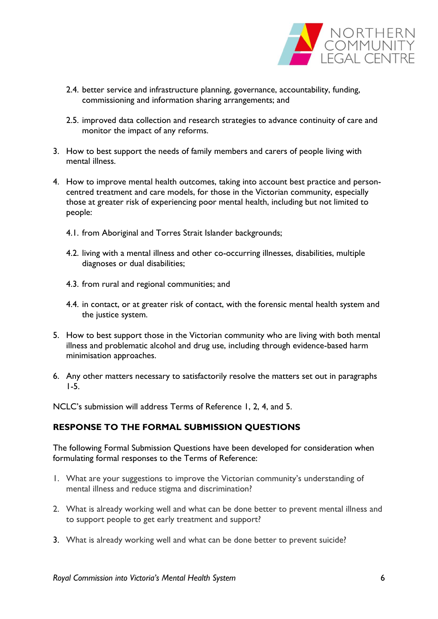

- 2.4. better service and infrastructure planning, governance, accountability, funding, commissioning and information sharing arrangements; and
- 2.5. improved data collection and research strategies to advance continuity of care and monitor the impact of any reforms.
- 3. How to best support the needs of family members and carers of people living with mental illness.
- 4. How to improve mental health outcomes, taking into account best practice and personcentred treatment and care models, for those in the Victorian community, especially those at greater risk of experiencing poor mental health, including but not limited to people:
	- 4.1. from Aboriginal and Torres Strait Islander backgrounds;
	- 4.2. living with a mental illness and other co-occurring illnesses, disabilities, multiple diagnoses or dual disabilities;
	- 4.3. from rural and regional communities; and
	- 4.4. in contact, or at greater risk of contact, with the forensic mental health system and the justice system.
- 5. How to best support those in the Victorian community who are living with both mental illness and problematic alcohol and drug use, including through evidence-based harm minimisation approaches.
- 6. Any other matters necessary to satisfactorily resolve the matters set out in paragraphs 1-5.

NCLC's submission will address Terms of Reference 1, 2, 4, and 5.

# <span id="page-5-0"></span>**RESPONSE TO THE FORMAL SUBMISSION QUESTIONS**

The following Formal Submission Questions have been developed for consideration when formulating formal responses to the Terms of Reference:

- 1. What are your suggestions to improve the Victorian community's understanding of mental illness and reduce stigma and discrimination?
- 2. What is already working well and what can be done better to prevent mental illness and to support people to get early treatment and support?
- 3. What is already working well and what can be done better to prevent suicide?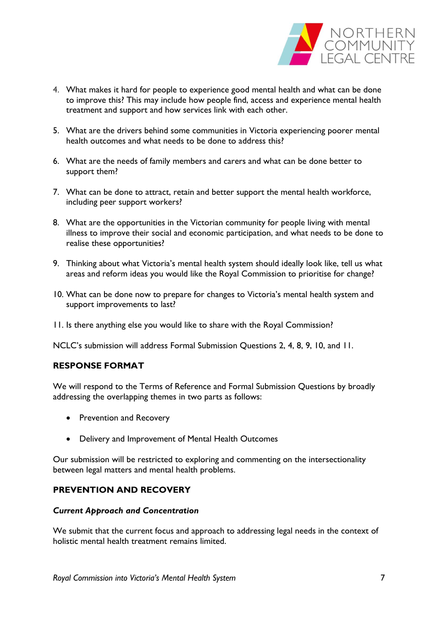

- 4. What makes it hard for people to experience good mental health and what can be done to improve this? This may include how people find, access and experience mental health treatment and support and how services link with each other.
- 5. What are the drivers behind some communities in Victoria experiencing poorer mental health outcomes and what needs to be done to address this?
- 6. What are the needs of family members and carers and what can be done better to support them?
- 7. What can be done to attract, retain and better support the mental health workforce, including peer support workers?
- 8. What are the opportunities in the Victorian community for people living with mental illness to improve their social and economic participation, and what needs to be done to realise these opportunities?
- 9. Thinking about what Victoria's mental health system should ideally look like, tell us what areas and reform ideas you would like the Royal Commission to prioritise for change?
- 10. What can be done now to prepare for changes to Victoria's mental health system and support improvements to last?
- 11. Is there anything else you would like to share with the Royal Commission?

NCLC's submission will address Formal Submission Questions 2, 4, 8, 9, 10, and 11.

# <span id="page-6-0"></span>**RESPONSE FORMAT**

We will respond to the Terms of Reference and Formal Submission Questions by broadly addressing the overlapping themes in two parts as follows:

- Prevention and Recovery
- Delivery and Improvement of Mental Health Outcomes

Our submission will be restricted to exploring and commenting on the intersectionality between legal matters and mental health problems.

# <span id="page-6-1"></span>**PREVENTION AND RECOVERY**

### <span id="page-6-2"></span>*Current Approach and Concentration*

We submit that the current focus and approach to addressing legal needs in the context of holistic mental health treatment remains limited.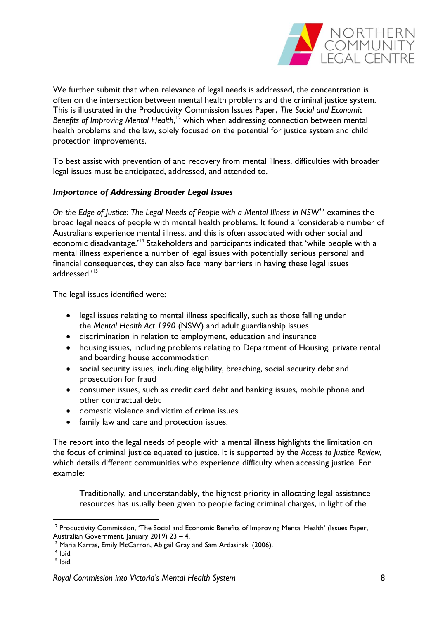

We further submit that when relevance of legal needs is addressed, the concentration is often on the intersection between mental health problems and the criminal justice system. This is illustrated in the Productivity Commission Issues Paper, *The Social and Economic Benefits of Improving Mental Health*, <sup>12</sup> which when addressing connection between mental health problems and the law, solely focused on the potential for justice system and child protection improvements.

To best assist with prevention of and recovery from mental illness, difficulties with broader legal issues must be anticipated, addressed, and attended to.

### *Importance of Addressing Broader Legal Issues*

*On the Edge of Justice: The Legal Needs of People with a Mental Illness in NSW<sup>13</sup>* examines the broad legal needs of people with mental health problems. It found a 'considerable number of Australians experience mental illness, and this is often associated with other social and economic disadvantage.<sup>'14</sup> Stakeholders and participants indicated that 'while people with a mental illness experience a number of legal issues with potentially serious personal and financial consequences, they can also face many barriers in having these legal issues addressed.'<sup>15</sup>

The legal issues identified were:

- legal issues relating to mental illness specifically, such as those falling under the *Mental Health Act 1990* (NSW) and adult guardianship issues
- discrimination in relation to employment, education and insurance
- housing issues, including problems relating to Department of Housing, private rental and boarding house accommodation
- social security issues, including eligibility, breaching, social security debt and prosecution for fraud
- consumer issues, such as credit card debt and banking issues, mobile phone and other contractual debt
- domestic violence and victim of crime issues
- family law and care and protection issues.

The report into the legal needs of people with a mental illness highlights the limitation on the focus of criminal justice equated to justice. It is supported by the *Access to Justice Review,*  which details different communities who experience difficulty when accessing justice. For example:

Traditionally, and understandably, the highest priority in allocating legal assistance resources has usually been given to people facing criminal charges, in light of the

<sup>&</sup>lt;sup>12</sup> Productivity Commission, 'The Social and Economic Benefits of Improving Mental Health' (Issues Paper, Australian Government, January 2019) 23 – 4.

<sup>&</sup>lt;sup>13</sup> Maria Karras, Emily McCarron, Abigail Gray and Sam Ardasinski (2006).

 $14$  Ibid.

<sup>15</sup> Ibid.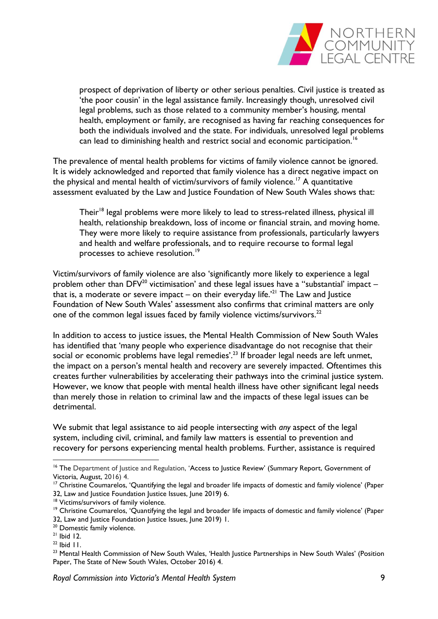

prospect of deprivation of liberty or other serious penalties. Civil justice is treated as 'the poor cousin' in the legal assistance family. Increasingly though, unresolved civil legal problems, such as those related to a community member's housing, mental health, employment or family, are recognised as having far reaching consequences for both the individuals involved and the state. For individuals, unresolved legal problems can lead to diminishing health and restrict social and economic participation.<sup>16</sup>

The prevalence of mental health problems for victims of family violence cannot be ignored. It is widely acknowledged and reported that family violence has a direct negative impact on the physical and mental health of victim/survivors of family violence.<sup>17</sup> A quantitative assessment evaluated by the Law and Justice Foundation of New South Wales shows that:

Their<sup>18</sup> legal problems were more likely to lead to stress-related illness, physical ill health, relationship breakdown, loss of income or financial strain, and moving home. They were more likely to require assistance from professionals, particularly lawyers and health and welfare professionals, and to require recourse to formal legal processes to achieve resolution.<sup>19</sup>

Victim/survivors of family violence are also 'significantly more likely to experience a legal problem other than DFV<sup>20</sup> victimisation' and these legal issues have a "substantial' impact – that is, a moderate or severe impact – on their everyday life.<sup> $21$ </sup> The Law and Justice Foundation of New South Wales' assessment also confirms that criminal matters are only one of the common legal issues faced by family violence victims/survivors.<sup>22</sup>

In addition to access to justice issues, the Mental Health Commission of New South Wales has identified that 'many people who experience disadvantage do not recognise that their social or economic problems have legal remedies'.<sup>23</sup> If broader legal needs are left unmet, the impact on a person's mental health and recovery are severely impacted. Oftentimes this creates further vulnerabilities by accelerating their pathways into the criminal justice system. However, we know that people with mental health illness have other significant legal needs than merely those in relation to criminal law and the impacts of these legal issues can be detrimental.

We submit that legal assistance to aid people intersecting with *any* aspect of the legal system, including civil, criminal, and family law matters is essential to prevention and recovery for persons experiencing mental health problems. Further, assistance is required

- <sup>20</sup> Domestic family violence.
- <sup>21</sup> Ibid 12.

<u>.</u>

 $22$  Ibid II.

<sup>&</sup>lt;sup>16</sup> The Department of Justice and Regulation, 'Access to Justice Review' (Summary Report, Government of Victoria, August, 2016) 4.

<sup>&</sup>lt;sup>17</sup> Christine Coumarelos, 'Quantifying the legal and broader life impacts of domestic and family violence' (Paper 32, Law and Justice Foundation Justice Issues, June 2019) 6.

<sup>&</sup>lt;sup>18</sup> Victims/survivors of family violence.

<sup>&</sup>lt;sup>19</sup> Christine Coumarelos, 'Quantifying the legal and broader life impacts of domestic and family violence' (Paper 32, Law and Justice Foundation Justice Issues, June 2019) 1.

<sup>&</sup>lt;sup>23</sup> Mental Health Commission of New South Wales, 'Health Justice Partnerships in New South Wales' (Position Paper, The State of New South Wales, October 2016) 4.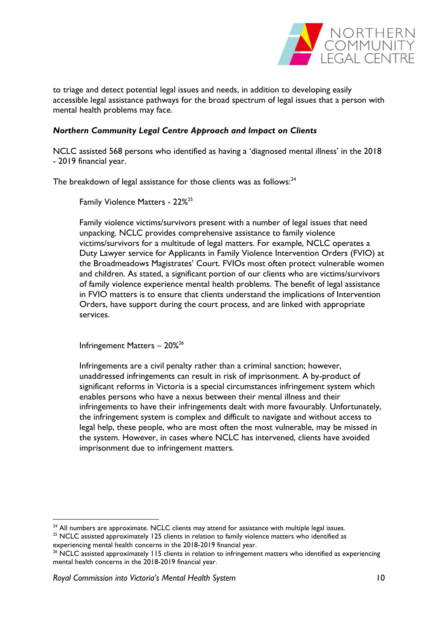

to triage and detect potential legal issues and needs, in addition to developing easily accessible legal assistance pathways for the broad spectrum of legal issues that a person with mental health problems may face.

# <span id="page-9-0"></span>*Northern Community Legal Centre Approach and Impact on Clients*

NCLC assisted 568 persons who identified as having a 'diagnosed mental illness' in the 2018 - 2019 financial year.

The breakdown of legal assistance for those clients was as follows: $24$ 

Family Violence Matters - 22%<sup>25</sup>

Family violence victims/survivors present with a number of legal issues that need unpacking. NCLC provides comprehensive assistance to family violence victims/survivors for a multitude of legal matters. For example, NCLC operates a Duty Lawyer service for Applicants in Family Violence Intervention Orders (FVIO) at the Broadmeadows Magistrates' Court. FVIOs most often protect vulnerable women and children. As stated, a significant portion of our clients who are victims/survivors of family violence experience mental health problems. The benefit of legal assistance in FVIO matters is to ensure that clients understand the implications of Intervention Orders, have support during the court process, and are linked with appropriate services.

Infringement Matters – 20% 26

Infringements are a civil penalty rather than a criminal sanction; however, unaddressed infringements can result in risk of imprisonment. A by-product of significant reforms in Victoria is a special circumstances infringement system which enables persons who have a nexus between their mental illness and their infringements to have their infringements dealt with more favourably. Unfortunately, the infringement system is complex and difficult to navigate and without access to legal help, these people, who are most often the most vulnerable, may be missed in the system. However, in cases where NCLC has intervened, clients have avoided imprisonment due to infringement matters.

<sup>&</sup>lt;sup>24</sup> All numbers are approximate. NCLC clients may attend for assistance with multiple legal issues.

<sup>&</sup>lt;sup>25</sup> NCLC assisted approximately 125 clients in relation to family violence matters who identified as experiencing mental health concerns in the 2018-2019 financial year.

<sup>&</sup>lt;sup>26</sup> NCLC assisted approximately 115 clients in relation to infringement matters who identified as experiencing mental health concerns in the 2018-2019 financial year.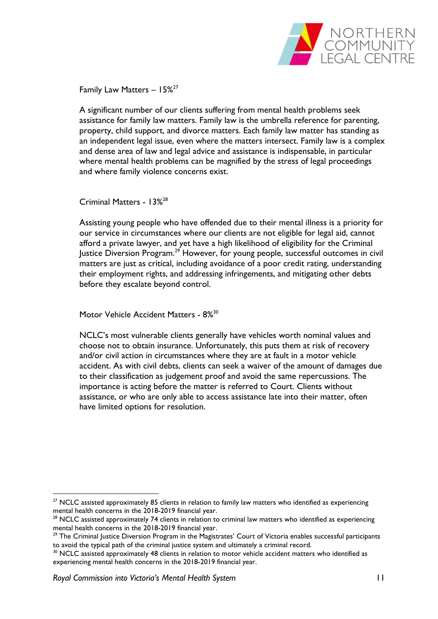

Family Law Matters - 15%<sup>27</sup>

A significant number of our clients suffering from mental health problems seek assistance for family law matters. Family law is the umbrella reference for parenting, property, child support, and divorce matters. Each family law matter has standing as an independent legal issue, even where the matters intersect. Family law is a complex and dense area of law and legal advice and assistance is indispensable, in particular where mental health problems can be magnified by the stress of legal proceedings and where family violence concerns exist.

Criminal Matters - 13% 28

Assisting young people who have offended due to their mental illness is a priority for our service in circumstances where our clients are not eligible for legal aid, cannot afford a private lawyer, and yet have a high likelihood of eligibility for the Criminal  $I$ ustice Diversion Program.<sup>29</sup> However, for young people, successful outcomes in civil matters are just as critical, including avoidance of a poor credit rating, understanding their employment rights, and addressing infringements, and mitigating other debts before they escalate beyond control.

Motor Vehicle Accident Matters - 8%<sup>30</sup>

NCLC's most vulnerable clients generally have vehicles worth nominal values and choose not to obtain insurance. Unfortunately, this puts them at risk of recovery and/or civil action in circumstances where they are at fault in a motor vehicle accident. As with civil debts, clients can seek a waiver of the amount of damages due to their classification as judgement proof and avoid the same repercussions. The importance is acting before the matter is referred to Court. Clients without assistance, or who are only able to access assistance late into their matter, often have limited options for resolution.

 $27$  NCLC assisted approximately 85 clients in relation to family law matters who identified as experiencing mental health concerns in the 2018-2019 financial year.

<sup>&</sup>lt;sup>28</sup> NCLC assisted approximately 74 clients in relation to criminal law matters who identified as experiencing mental health concerns in the 2018-2019 financial year.

<sup>&</sup>lt;sup>29</sup> The Criminal Justice Diversion Program in the Magistrates' Court of Victoria enables successful participants to avoid the typical path of the criminal justice system and ultimately a criminal record.

 $30$  NCLC assisted approximately 48 clients in relation to motor vehicle accident matters who identified as experiencing mental health concerns in the 2018-2019 financial year.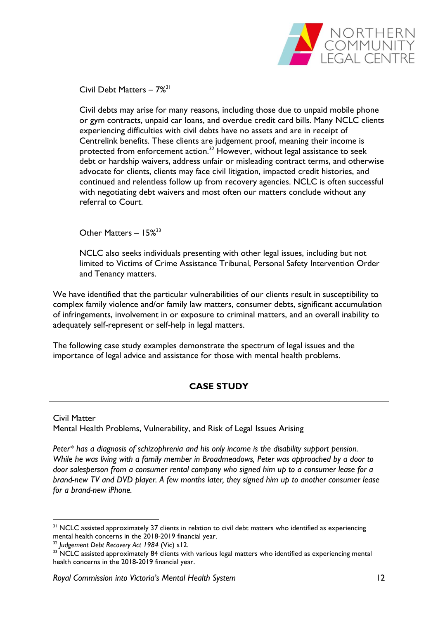

Civil Debt Matters - 7%<sup>31</sup>

Civil debts may arise for many reasons, including those due to unpaid mobile phone or gym contracts, unpaid car loans, and overdue credit card bills. Many NCLC clients experiencing difficulties with civil debts have no assets and are in receipt of Centrelink benefits. These clients are judgement proof, meaning their income is protected from enforcement action.<sup>32</sup> However, without legal assistance to seek debt or hardship waivers, address unfair or misleading contract terms, and otherwise advocate for clients, clients may face civil litigation, impacted credit histories, and continued and relentless follow up from recovery agencies. NCLC is often successful with negotiating debt waivers and most often our matters conclude without any referral to Court.

Other Matters - 15%<sup>33</sup>

NCLC also seeks individuals presenting with other legal issues, including but not limited to Victims of Crime Assistance Tribunal, Personal Safety Intervention Order and Tenancy matters.

We have identified that the particular vulnerabilities of our clients result in susceptibility to complex family violence and/or family law matters, consumer debts, significant accumulation of infringements, involvement in or exposure to criminal matters, and an overall inability to adequately self-represent or self-help in legal matters.

The following case study examples demonstrate the spectrum of legal issues and the importance of legal advice and assistance for those with mental health problems.

# **CASE STUDY**

<span id="page-11-0"></span>Civil Matter Mental Health Problems, Vulnerability, and Risk of Legal Issues Arising

*Peter\* has a diagnosis of schizophrenia and his only income is the disability support pension. While he was living with a family member in Broadmeadows, Peter was approached by a door to door salesperson from a consumer rental company who signed him up to a consumer lease for a brand-new TV and DVD player. A few months later, they signed him up to another consumer lease for a brand-new iPhone.* 

<sup>&</sup>lt;sup>31</sup> NCLC assisted approximately 37 clients in relation to civil debt matters who identified as experiencing mental health concerns in the 2018-2019 financial year.

<sup>32</sup> *Judgement Debt Recovery Act 1984* (Vic) s12.

<sup>&</sup>lt;sup>33</sup> NCLC assisted approximately 84 clients with various legal matters who identified as experiencing mental health concerns in the 2018-2019 financial year.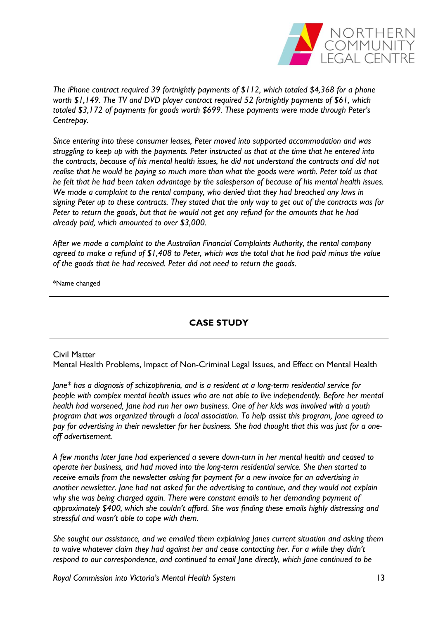

*The iPhone contract required 39 fortnightly payments of \$112, which totaled \$4,368 for a phone worth \$1,149. The TV and DVD player contract required 52 fortnightly payments of \$61, which totaled \$3,172 of payments for goods worth \$699. These payments were made through Peter's Centrepay.*

*Since entering into these consumer leases, Peter moved into supported accommodation and was struggling to keep up with the payments. Peter instructed us that at the time that he entered into the contracts, because of his mental health issues, he did not understand the contracts and did not realise that he would be paying so much more than what the goods were worth. Peter told us that he felt that he had been taken advantage by the salesperson of because of his mental health issues. We made a complaint to the rental company, who denied that they had breached any laws in signing Peter up to these contracts. They stated that the only way to get out of the contracts was for Peter to return the goods, but that he would not get any refund for the amounts that he had already paid, which amounted to over \$3,000.*

*After we made a complaint to the Australian Financial Complaints Authority, the rental company agreed to make a refund of \$1,408 to Peter, which was the total that he had paid minus the value of the goods that he had received. Peter did not need to return the goods.*

\*Name changed

# **CASE STUDY**

#### <span id="page-12-0"></span>Civil Matter

Mental Health Problems, Impact of Non-Criminal Legal Issues, and Effect on Mental Health

*Jane\* has a diagnosis of schizophrenia, and is a resident at a long-term residential service for people with complex mental health issues who are not able to live independently. Before her mental health had worsened, Jane had run her own business. One of her kids was involved with a youth program that was organized through a local association. To help assist this program, Jane agreed to pay for advertising in their newsletter for her business. She had thought that this was just for a oneoff advertisement.*

*A few months later Jane had experienced a severe down-turn in her mental health and ceased to operate her business, and had moved into the long-term residential service. She then started to receive emails from the newsletter asking for payment for a new invoice for an advertising in another newsletter. Jane had not asked for the advertising to continue, and they would not explain why she was being charged again. There were constant emails to her demanding payment of approximately \$400, which she couldn't afford. She was finding these emails highly distressing and stressful and wasn't able to cope with them.*

*She sought our assistance, and we emailed them explaining Janes current situation and asking them to waive whatever claim they had against her and cease contacting her. For a while they didn't respond to our correspondence, and continued to email Jane directly, which Jane continued to be* 

*Royal Commission into Victoria's Mental Health System* 13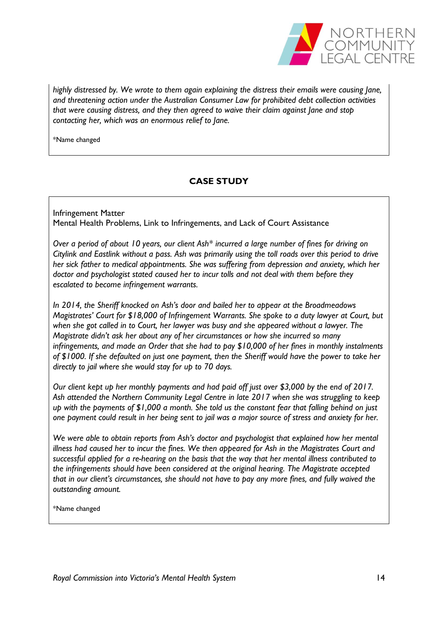

*highly distressed by. We wrote to them again explaining the distress their emails were causing Jane, and threatening action under the Australian Consumer Law for prohibited debt collection activities that were causing distress, and they then agreed to waive their claim against Jane and stop contacting her, which was an enormous relief to Jane.*

\*Name changed

# **CASE STUDY**

<span id="page-13-0"></span>Infringement Matter Mental Health Problems, Link to Infringements, and Lack of Court Assistance

*Over a period of about 10 years, our client Ash\* incurred a large number of fines for driving on Citylink and Eastlink without a pass. Ash was primarily using the toll roads over this period to drive her sick father to medical appointments. She was suffering from depression and anxiety, which her doctor and psychologist stated caused her to incur tolls and not deal with them before they escalated to become infringement warrants.*

*In 2014, the Sheriff knocked on Ash's door and bailed her to appear at the Broadmeadows Magistrates' Court for \$18,000 of Infringement Warrants. She spoke to a duty lawyer at Court, but when she got called in to Court, her lawyer was busy and she appeared without a lawyer. The Magistrate didn't ask her about any of her circumstances or how she incurred so many infringements, and made an Order that she had to pay \$10,000 of her fines in monthly instalments of \$1000. If she defaulted on just one payment, then the Sheriff would have the power to take her directly to jail where she would stay for up to 70 days.* 

*Our client kept up her monthly payments and had paid off just over \$3,000 by the end of 2017. Ash attended the Northern Community Legal Centre in late 2017 when she was struggling to keep up with the payments of \$1,000 a month. She told us the constant fear that falling behind on just one payment could result in her being sent to jail was a major source of stress and anxiety for her.*

*We were able to obtain reports from Ash's doctor and psychologist that explained how her mental illness had caused her to incur the fines. We then appeared for Ash in the Magistrates Court and successful applied for a re-hearing on the basis that the way that her mental illness contributed to the infringements should have been considered at the original hearing. The Magistrate accepted that in our client's circumstances, she should not have to pay any more fines, and fully waived the outstanding amount.*

\*Name changed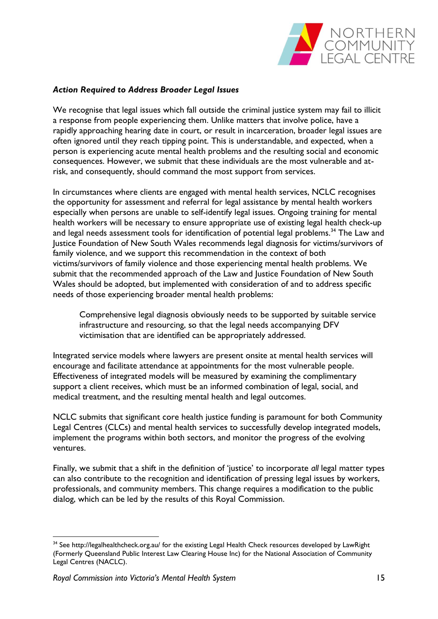

### <span id="page-14-0"></span>*Action Required to Address Broader Legal Issues*

We recognise that legal issues which fall outside the criminal justice system may fail to illicit a response from people experiencing them. Unlike matters that involve police, have a rapidly approaching hearing date in court, or result in incarceration, broader legal issues are often ignored until they reach tipping point. This is understandable, and expected, when a person is experiencing acute mental health problems and the resulting social and economic consequences. However, we submit that these individuals are the most vulnerable and atrisk, and consequently, should command the most support from services.

In circumstances where clients are engaged with mental health services, NCLC recognises the opportunity for assessment and referral for legal assistance by mental health workers especially when persons are unable to self-identify legal issues. Ongoing training for mental health workers will be necessary to ensure appropriate use of existing legal health check-up and legal needs assessment tools for identification of potential legal problems.<sup>34</sup> The Law and Justice Foundation of New South Wales recommends legal diagnosis for victims/survivors of family violence, and we support this recommendation in the context of both victims/survivors of family violence and those experiencing mental health problems. We submit that the recommended approach of the Law and Justice Foundation of New South Wales should be adopted, but implemented with consideration of and to address specific needs of those experiencing broader mental health problems:

Comprehensive legal diagnosis obviously needs to be supported by suitable service infrastructure and resourcing, so that the legal needs accompanying DFV victimisation that are identified can be appropriately addressed.

Integrated service models where lawyers are present onsite at mental health services will encourage and facilitate attendance at appointments for the most vulnerable people. Effectiveness of integrated models will be measured by examining the complimentary support a client receives, which must be an informed combination of legal, social, and medical treatment, and the resulting mental health and legal outcomes.

NCLC submits that significant core health justice funding is paramount for both Community Legal Centres (CLCs) and mental health services to successfully develop integrated models, implement the programs within both sectors, and monitor the progress of the evolving ventures.

<span id="page-14-1"></span>Finally, we submit that a shift in the definition of 'justice' to incorporate *all* legal matter types can also contribute to the recognition and identification of pressing legal issues by workers, professionals, and community members. This change requires a modification to the public dialog, which can be led by the results of this Royal Commission.

<sup>&</sup>lt;sup>34</sup> See<http://legalhealthcheck.org.au/> for the existing Legal Health Check resources developed by LawRight (Formerly Queensland Public Interest Law Clearing House Inc) for the National Association of Community Legal Centres (NACLC).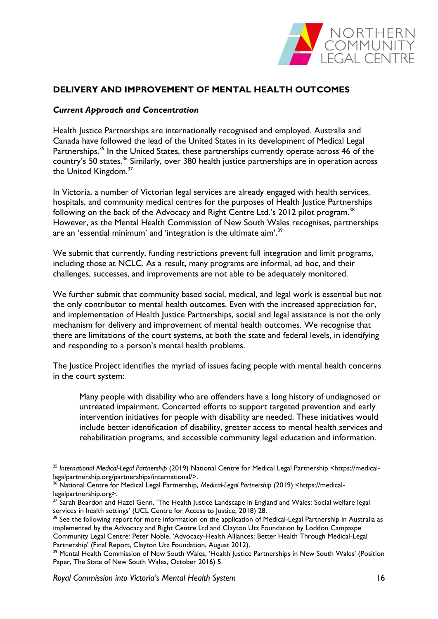

# <span id="page-15-0"></span>**DELIVERY AND IMPROVEMENT OF MENTAL HEALTH OUTCOMES**

### *Current Approach and Concentration*

Health Justice Partnerships are internationally recognised and employed. Australia and Canada have followed the lead of the United States in its development of Medical Legal Partnerships.<sup>35</sup> In the United States, these partnerships currently operate across 46 of the country's 50 states.<sup>36</sup> Similarly, over 380 health justice partnerships are in operation across the United Kingdom.<sup>37</sup>

In Victoria, a number of Victorian legal services are already engaged with health services, hospitals, and community medical centres for the purposes of Health Justice Partnerships following on the back of the Advocacy and Right Centre Ltd.'s 2012 pilot program.<sup>38</sup> However, as the Mental Health Commission of New South Wales recognises, partnerships are an 'essential minimum' and 'integration is the ultimate aim'.<sup>39</sup>

We submit that currently, funding restrictions prevent full integration and limit programs, including those at NCLC. As a result, many programs are informal, ad hoc, and their challenges, successes, and improvements are not able to be adequately monitored.

We further submit that community based social, medical, and legal work is essential but not the only contributor to mental health outcomes. Even with the increased appreciation for, and implementation of Health Justice Partnerships, social and legal assistance is not the only mechanism for delivery and improvement of mental health outcomes. We recognise that there are limitations of the court systems, at both the state and federal levels, in identifying and responding to a person's mental health problems.

The Justice Project identifies the myriad of issues facing people with mental health concerns in the court system:

Many people with disability who are offenders have a long history of undiagnosed or untreated impairment. Concerted efforts to support targeted prevention and early intervention initiatives for people with disability are needed. These initiatives would include better identification of disability, greater access to mental health services and rehabilitation programs, and accessible community legal education and information.

<u>.</u>

<sup>35</sup> *International Medical-Legal Partnership* (2019) National Centre for Medical Legal Partnership <https://medicallegalpartnership.org/partnerships/international/>.

<sup>36</sup> National Centre for Medical Legal Partnership, *Medical-Legal Partnership* (2019) <https://medicallegalpartnership.org>.

<sup>37</sup> Sarah Beardon and Hazel Genn, 'The Health Justice Landscape in England and Wales: Social welfare legal services in health settings' (UCL Centre for Access to Justice, 2018) 28.

<sup>&</sup>lt;sup>38</sup> See the following report for more information on the application of Medical-Legal Partnership in Australia as implemented by the Advocacy and Right Centre Ltd and Clayton Utz Foundation by Loddon Campaspe Community Legal Centre: Peter Noble, 'Advocacy-Health Alliances: Better Health Through Medical-Legal Partnership' (Final Report, Clayton Utz Foundation, August 2012).

<sup>&</sup>lt;sup>39</sup> Mental Health Commission of New South Wales, 'Health Justice Partnerships in New South Wales' (Position Paper, The State of New South Wales, October 2016) 5.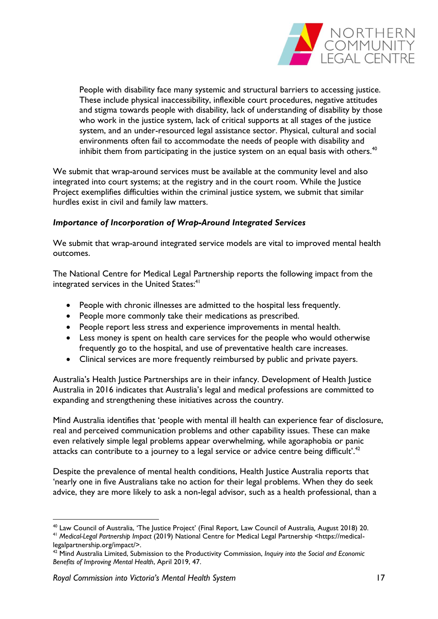

People with disability face many systemic and structural barriers to accessing justice. These include physical inaccessibility, inflexible court procedures, negative attitudes and stigma towards people with disability, lack of understanding of disability by those who work in the justice system, lack of critical supports at all stages of the justice system, and an under-resourced legal assistance sector. Physical, cultural and social environments often fail to accommodate the needs of people with disability and inhibit them from participating in the justice system on an equal basis with others. $40$ 

We submit that wrap-around services must be available at the community level and also integrated into court systems; at the registry and in the court room. While the Justice Project exemplifies difficulties within the criminal justice system, we submit that similar hurdles exist in civil and family law matters.

# <span id="page-16-0"></span>*Importance of Incorporation of Wrap-Around Integrated Services*

We submit that wrap-around integrated service models are vital to improved mental health outcomes.

The National Centre for Medical Legal Partnership reports the following impact from the integrated services in the United States:<sup>41</sup>

- People with chronic illnesses are admitted to the hospital less frequently.
- People more commonly take their medications as prescribed.
- People report less stress and experience improvements in mental health.
- Less money is spent on health care services for the people who would otherwise frequently go to the hospital, and use of preventative health care increases.
- Clinical services are more frequently reimbursed by public and private payers.

Australia's Health Justice Partnerships are in their infancy. Development of Health Justice Australia in 2016 indicates that Australia's legal and medical professions are committed to expanding and strengthening these initiatives across the country.

Mind Australia identifies that 'people with mental ill health can experience fear of disclosure, real and perceived communication problems and other capability issues. These can make even relatively simple legal problems appear overwhelming, while agoraphobia or panic attacks can contribute to a journey to a legal service or advice centre being difficult'.<sup>42</sup>

Despite the prevalence of mental health conditions, Health Justice Australia reports that 'nearly one in five Australians take no action for their legal problems. When they do seek advice, they are more likely to ask a non-legal advisor, such as a health professional, than a

<sup>1</sup> <sup>40</sup> Law Council of Australia, 'The Justice Project' (Final Report, Law Council of Australia*,* August 2018) 20. <sup>41</sup> *Medical-Legal Partnership Impact* (2019) National Centre for Medical Legal Partnership <https://medicallegalpartnership.org/impact/>.

<sup>42</sup> Mind Australia Limited, Submission to the Productivity Commission, *Inquiry into the Social and Economic Benefits of Improving Mental Health*, April 2019, 47.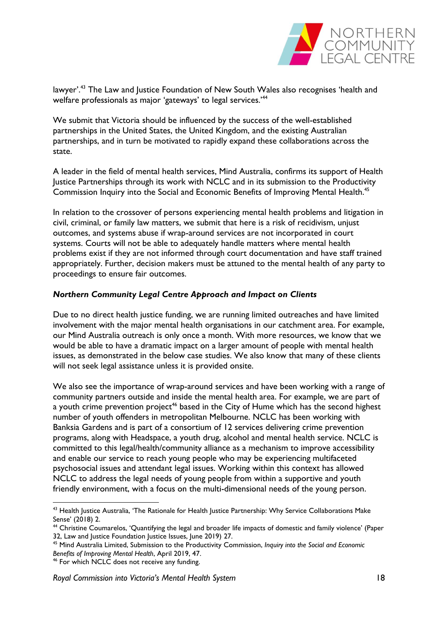

lawyer'.<sup>43</sup> The Law and Justice Foundation of New South Wales also recognises 'health and welfare professionals as major 'gateways' to legal services.<sup>'44</sup>

We submit that Victoria should be influenced by the success of the well-established partnerships in the United States, the United Kingdom, and the existing Australian partnerships, and in turn be motivated to rapidly expand these collaborations across the state.

A leader in the field of mental health services, Mind Australia, confirms its support of Health Justice Partnerships through its work with NCLC and in its submission to the Productivity Commission Inquiry into the Social and Economic Benefits of Improving Mental Health.<sup>45</sup>

In relation to the crossover of persons experiencing mental health problems and litigation in civil, criminal, or family law matters, we submit that here is a risk of recidivism, unjust outcomes, and systems abuse if wrap-around services are not incorporated in court systems. Courts will not be able to adequately handle matters where mental health problems exist if they are not informed through court documentation and have staff trained appropriately. Further, decision makers must be attuned to the mental health of any party to proceedings to ensure fair outcomes.

### <span id="page-17-0"></span>*Northern Community Legal Centre Approach and Impact on Clients*

Due to no direct health justice funding, we are running limited outreaches and have limited involvement with the major mental health organisations in our catchment area. For example, our Mind Australia outreach is only once a month. With more resources, we know that we would be able to have a dramatic impact on a larger amount of people with mental health issues, as demonstrated in the below case studies. We also know that many of these clients will not seek legal assistance unless it is provided onsite.

We also see the importance of wrap-around services and have been working with a range of community partners outside and inside the mental health area. For example, we are part of a youth crime prevention project<sup>46</sup> based in the City of Hume which has the second highest number of youth offenders in metropolitan Melbourne. NCLC has been working with Banksia Gardens and is part of a consortium of 12 services delivering crime prevention programs, along with Headspace, a youth drug, alcohol and mental health service. NCLC is committed to this legal/health/community alliance as a mechanism to improve accessibility and enable our service to reach young people who may be experiencing multifaceted psychosocial issues and attendant legal issues. Working within this context has allowed NCLC to address the legal needs of young people from within a supportive and youth friendly environment, with a focus on the multi-dimensional needs of the young person.

<sup>&</sup>lt;sup>43</sup> Health Justice Australia, 'The Rationale for Health Justice Partnership: Why Service Collaborations Make Sense' (2018) 2.

<sup>44</sup> Christine Coumarelos, 'Quantifying the legal and broader life impacts of domestic and family violence' (Paper 32, Law and Justice Foundation Justice Issues, June 2019) 27.

<sup>45</sup> Mind Australia Limited, Submission to the Productivity Commission, *Inquiry into the Social and Economic Benefits of Improving Mental Health*, April 2019, 47.

<sup>46</sup> For which NCLC does not receive any funding.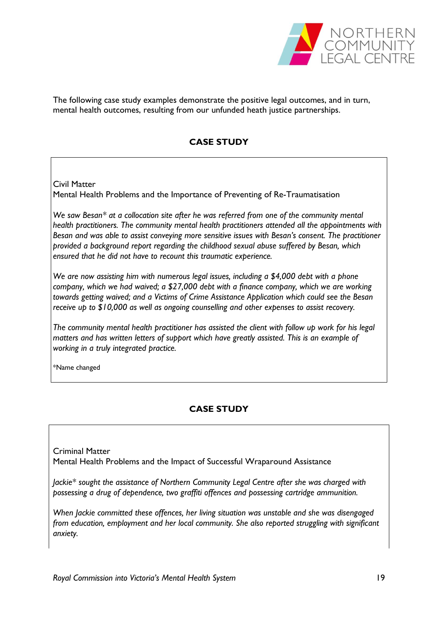

The following case study examples demonstrate the positive legal outcomes, and in turn, mental health outcomes, resulting from our unfunded heath justice partnerships.

# **CASE STUDY**

Civil Matter Mental Health Problems and the Importance of Preventing of Re-Traumatisation

*We saw Besan\* at a collocation site after he was referred from one of the community mental health practitioners. The community mental health practitioners attended all the appointments with Besan and was able to assist conveying more sensitive issues with Besan's consent. The practitioner provided a background report regarding the childhood sexual abuse suffered by Besan, which ensured that he did not have to recount this traumatic experience.* 

*We are now assisting him with numerous legal issues, including a \$4,000 debt with a phone company, which we had waived; a \$27,000 debt with a finance company, which we are working towards getting waived; and a Victims of Crime Assistance Application which could see the Besan receive up to \$10,000 as well as ongoing counselling and other expenses to assist recovery.* 

*The community mental health practitioner has assisted the client with follow up work for his legal matters and has written letters of support which have greatly assisted. This is an example of working in a truly integrated practice.* 

\*Name changed

# **CASE STUDY**

Criminal Matter Mental Health Problems and the Impact of Successful Wraparound Assistance

*Jackie\* sought the assistance of Northern Community Legal Centre after she was charged with possessing a drug of dependence, two graffiti offences and possessing cartridge ammunition.* 

*When Jackie committed these offences, her living situation was unstable and she was disengaged from education, employment and her local community. She also reported struggling with significant anxiety.*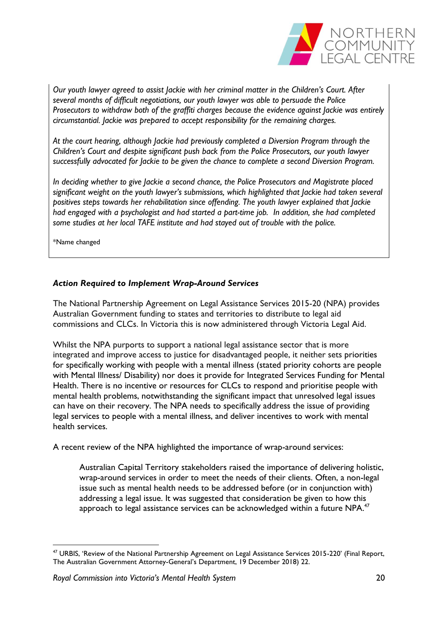

*Our youth lawyer agreed to assist Jackie with her criminal matter in the Children's Court. After several months of difficult negotiations, our youth lawyer was able to persuade the Police Prosecutors to withdraw both of the graffiti charges because the evidence against Jackie was entirely circumstantial. Jackie was prepared to accept responsibility for the remaining charges.*

*At the court hearing, although Jackie had previously completed a Diversion Program through the Children's Court and despite significant push back from the Police Prosecutors, our youth lawyer successfully advocated for Jackie to be given the chance to complete a second Diversion Program.*

*In deciding whether to give Jackie a second chance, the Police Prosecutors and Magistrate placed significant weight on the youth lawyer's submissions, which highlighted that Jackie had taken several positives steps towards her rehabilitation since offending. The youth lawyer explained that Jackie had engaged with a psychologist and had started a part-time job. In addition, she had completed some studies at her local TAFE institute and had stayed out of trouble with the police.*

\*Name changed

1

# <span id="page-19-0"></span>*Action Required to Implement Wrap-Around Services*

The National Partnership Agreement on Legal Assistance Services 2015-20 (NPA) provides Australian Government funding to states and territories to distribute to legal aid commissions and CLCs. In Victoria this is now administered through Victoria Legal Aid.

Whilst the NPA purports to support a national legal assistance sector that is more integrated and improve access to justice for disadvantaged people, it neither sets priorities for specifically working with people with a mental illness (stated priority cohorts are people with Mental Illness/ Disability) nor does it provide for Integrated Services Funding for Mental Health. There is no incentive or resources for CLCs to respond and prioritise people with mental health problems, notwithstanding the significant impact that unresolved legal issues can have on their recovery. The NPA needs to specifically address the issue of providing legal services to people with a mental illness, and deliver incentives to work with mental health services.

A recent review of the NPA highlighted the importance of wrap-around services:

Australian Capital Territory stakeholders raised the importance of delivering holistic, wrap-around services in order to meet the needs of their clients. Often, a non-legal issue such as mental health needs to be addressed before (or in conjunction with) addressing a legal issue. It was suggested that consideration be given to how this approach to legal assistance services can be acknowledged within a future NPA.<sup>47</sup>

<sup>&</sup>lt;sup>47</sup> URBIS, 'Review of the National Partnership Agreement on Legal Assistance Services 2015-220' (Final Report, The Australian Government Attorney-General's Department, 19 December 2018) 22.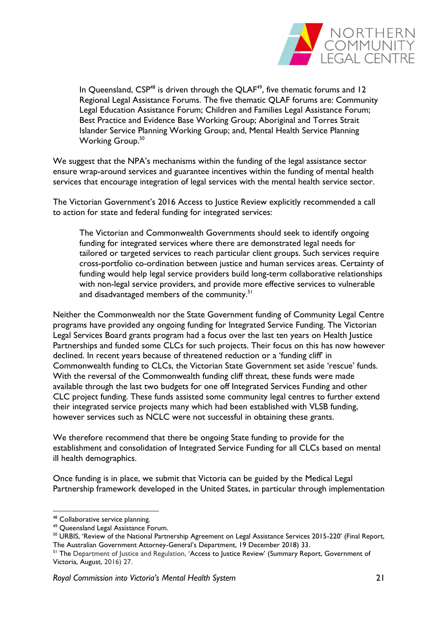

In Queensland,  $CSP^{48}$  is driven through the QLAF<sup>49</sup>, five thematic forums and 12 Regional Legal Assistance Forums. The five thematic QLAF forums are: Community Legal Education Assistance Forum; Children and Families Legal Assistance Forum; Best Practice and Evidence Base Working Group; Aboriginal and Torres Strait Islander Service Planning Working Group; and, Mental Health Service Planning Working Group.<sup>50</sup>

We suggest that the NPA's mechanisms within the funding of the legal assistance sector ensure wrap-around services and guarantee incentives within the funding of mental health services that encourage integration of legal services with the mental health service sector.

The Victorian Government's 2016 Access to Justice Review explicitly recommended a call to action for state and federal funding for integrated services:

The Victorian and Commonwealth Governments should seek to identify ongoing funding for integrated services where there are demonstrated legal needs for tailored or targeted services to reach particular client groups. Such services require cross-portfolio co-ordination between justice and human services areas. Certainty of funding would help legal service providers build long-term collaborative relationships with non-legal service providers, and provide more effective services to vulnerable and disadvantaged members of the community.<sup>51</sup>

Neither the Commonwealth nor the State Government funding of Community Legal Centre programs have provided any ongoing funding for Integrated Service Funding. The Victorian Legal Services Board grants program had a focus over the last ten years on Health Justice Partnerships and funded some CLCs for such projects. Their focus on this has now however declined. In recent years because of threatened reduction or a 'funding cliff' in Commonwealth funding to CLCs, the Victorian State Government set aside 'rescue' funds. With the reversal of the Commonwealth funding cliff threat, these funds were made available through the last two budgets for one off Integrated Services Funding and other CLC project funding. These funds assisted some community legal centres to further extend their integrated service projects many which had been established with VLSB funding, however services such as NCLC were not successful in obtaining these grants.

We therefore recommend that there be ongoing State funding to provide for the establishment and consolidation of Integrated Service Funding for all CLCs based on mental ill health demographics.

Once funding is in place, we submit that Victoria can be guided by the Medical Legal Partnership framework developed in the United States, in particular through implementation

<sup>48</sup> Collaborative service planning.

<sup>49</sup> Queensland Legal Assistance Forum.

<sup>50</sup> URBIS, 'Review of the National Partnership Agreement on Legal Assistance Services 2015-220' (Final Report, The Australian Government Attorney-General's Department, 19 December 2018) 33.

<sup>&</sup>lt;sup>51</sup> The Department of Justice and Regulation, 'Access to Justice Review' (Summary Report, Government of Victoria, August, 2016) 27.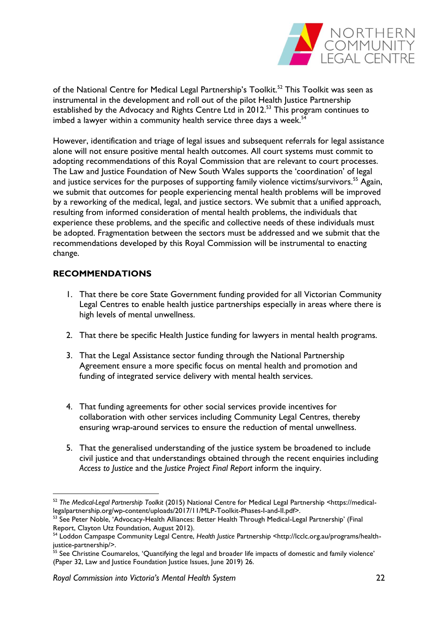

of the National Centre for Medical Legal Partnership's Toolkit.<sup>52</sup> This Toolkit was seen as instrumental in the development and roll out of the pilot Health Justice Partnership established by the Advocacy and Rights Centre Ltd in 2012.<sup>53</sup> This program continues to imbed a lawyer within a community health service three days a week. $54$ 

However, identification and triage of legal issues and subsequent referrals for legal assistance alone will not ensure positive mental health outcomes. All court systems must commit to adopting recommendations of this Royal Commission that are relevant to court processes. The Law and Justice Foundation of New South Wales supports the 'coordination' of legal and justice services for the purposes of supporting family violence victims/survivors.<sup>55</sup> Again, we submit that outcomes for people experiencing mental health problems will be improved by a reworking of the medical, legal, and justice sectors. We submit that a unified approach, resulting from informed consideration of mental health problems, the individuals that experience these problems, and the specific and collective needs of these individuals must be adopted. Fragmentation between the sectors must be addressed and we submit that the recommendations developed by this Royal Commission will be instrumental to enacting change.

# <span id="page-21-0"></span>**RECOMMENDATIONS**

- 1. That there be core State Government funding provided for all Victorian Community Legal Centres to enable health justice partnerships especially in areas where there is high levels of mental unwellness.
- 2. That there be specific Health Justice funding for lawyers in mental health programs.
- 3. That the Legal Assistance sector funding through the National Partnership Agreement ensure a more specific focus on mental health and promotion and funding of integrated service delivery with mental health services.
- 4. That funding agreements for other social services provide incentives for collaboration with other services including Community Legal Centres, thereby ensuring wrap-around services to ensure the reduction of mental unwellness.
- 5. That the generalised understanding of the justice system be broadened to include civil justice and that understandings obtained through the recent enquiries including *Access to Justice* and the *Justice Project Final Report* inform the inquiry.

<sup>52</sup> *The Medical-Legal Partnership Toolkit* (2015) National Centre for Medical Legal Partnership <https://medicallegalpartnership.org/wp-content/uploads/2017/11/MLP-Toolkit-Phases-I-and-II.pdf>.

<sup>53</sup> See Peter Noble, 'Advocacy-Health Alliances: Better Health Through Medical-Legal Partnership' (Final Report, Clayton Utz Foundation, August 2012).

<sup>54</sup> Loddon Campaspe Community Legal Centre, *Health Justice* Partnership <http://lcclc.org.au/programs/healthjustice-partnership/>.

<sup>&</sup>lt;sup>55</sup> See Christine Coumarelos, 'Quantifying the legal and broader life impacts of domestic and family violence' (Paper 32, Law and Justice Foundation Justice Issues, June 2019) 26.